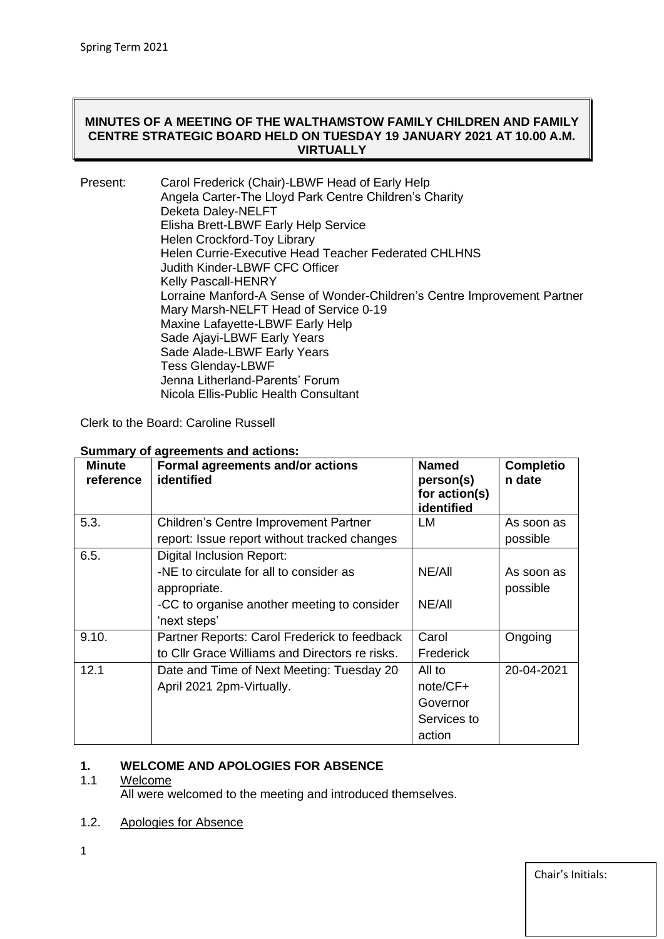#### **MINUTES OF A MEETING OF THE WALTHAMSTOW FAMILY CHILDREN AND FAMILY CENTRE STRATEGIC BOARD HELD ON TUESDAY 19 JANUARY 2021 AT 10.00 A.M. VIRTUALLY**

| Present: | Carol Frederick (Chair)-LBWF Head of Early Help                          |
|----------|--------------------------------------------------------------------------|
|          | Angela Carter-The Lloyd Park Centre Children's Charity                   |
|          | Deketa Daley-NELFT                                                       |
|          | Elisha Brett-LBWF Early Help Service                                     |
|          | Helen Crockford-Toy Library                                              |
|          | <b>Helen Currie-Executive Head Teacher Federated CHLHNS</b>              |
|          | Judith Kinder-LBWF CFC Officer                                           |
|          | <b>Kelly Pascall-HENRY</b>                                               |
|          | Lorraine Manford-A Sense of Wonder-Children's Centre Improvement Partner |
|          | Mary Marsh-NELFT Head of Service 0-19                                    |
|          | Maxine Lafayette-LBWF Early Help                                         |
|          | Sade Ajayi-LBWF Early Years                                              |
|          | Sade Alade-LBWF Early Years                                              |
|          | <b>Tess Glenday-LBWF</b>                                                 |
|          | Jenna Litherland-Parents' Forum                                          |
|          | Nicola Ellis-Public Health Consultant                                    |

Clerk to the Board: Caroline Russell

| Minute<br>reference | Formal agreements and/or actions<br>identified | <b>Named</b><br>person(s)<br>for action(s)<br>identified | <b>Completio</b><br>n date |
|---------------------|------------------------------------------------|----------------------------------------------------------|----------------------------|
| 5.3.                | <b>Children's Centre Improvement Partner</b>   | LM                                                       | As soon as                 |
|                     | report: Issue report without tracked changes   |                                                          | possible                   |
| 6.5.                | <b>Digital Inclusion Report:</b>               |                                                          |                            |
|                     | -NE to circulate for all to consider as        | NE/All                                                   | As soon as                 |
|                     | appropriate.                                   |                                                          | possible                   |
|                     | -CC to organise another meeting to consider    | NE/All                                                   |                            |
|                     | 'next steps'                                   |                                                          |                            |
| 9.10.               | Partner Reports: Carol Frederick to feedback   | Carol                                                    | Ongoing                    |
|                     | to Cllr Grace Williams and Directors re risks. | <b>Frederick</b>                                         |                            |
| 12.1                | Date and Time of Next Meeting: Tuesday 20      | All to                                                   | 20-04-2021                 |
|                     | April 2021 2pm-Virtually.                      | note/CF+                                                 |                            |
|                     |                                                | Governor                                                 |                            |
|                     |                                                | Services to                                              |                            |
|                     |                                                | action                                                   |                            |

#### **Summary of agreements and actions:**

# **1. WELCOME AND APOLOGIES FOR ABSENCE**

#### Welcome

All were welcomed to the meeting and introduced themselves.

#### 1.2. Apologies for Absence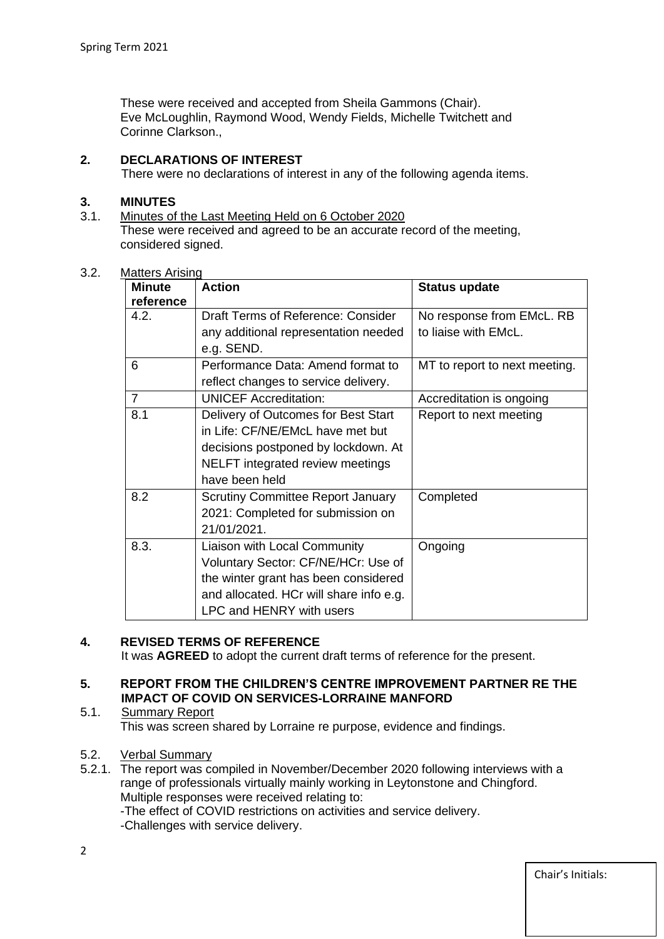These were received and accepted from Sheila Gammons (Chair). Eve McLoughlin, Raymond Wood, Wendy Fields, Michelle Twitchett and Corinne Clarkson.,

#### **2. DECLARATIONS OF INTEREST**

There were no declarations of interest in any of the following agenda items.

#### **3. MINUTES**

3.1. Minutes of the Last Meeting Held on 6 October 2020 These were received and agreed to be an accurate record of the meeting, considered signed.

| <b>Minute</b><br>reference | <b>Action</b>                                      | <b>Status update</b>          |
|----------------------------|----------------------------------------------------|-------------------------------|
| 4.2.                       | Draft Terms of Reference: Consider                 | No response from EMcL. RB     |
|                            | any additional representation needed<br>e.g. SEND. | to liaise with EMcL.          |
| 6                          | Performance Data: Amend format to                  | MT to report to next meeting. |
|                            | reflect changes to service delivery.               |                               |
| $\overline{7}$             | <b>UNICEF Accreditation:</b>                       | Accreditation is ongoing      |
| 8.1                        | Delivery of Outcomes for Best Start                | Report to next meeting        |
|                            | in Life: CF/NE/EMcL have met but                   |                               |
|                            | decisions postponed by lockdown. At                |                               |
|                            | NELFT integrated review meetings                   |                               |
|                            | have been held                                     |                               |
| 8.2                        | <b>Scrutiny Committee Report January</b>           | Completed                     |
|                            | 2021: Completed for submission on                  |                               |
|                            | 21/01/2021.                                        |                               |
| 8.3.                       | Liaison with Local Community                       | Ongoing                       |
|                            | Voluntary Sector: CF/NE/HCr: Use of                |                               |
|                            | the winter grant has been considered               |                               |
|                            | and allocated. HCr will share info e.g.            |                               |
|                            | <b>LPC and HENRY with users</b>                    |                               |

#### 3.2. Matters Arising

#### **4. REVISED TERMS OF REFERENCE**

It was **AGREED** to adopt the current draft terms of reference for the present.

#### **5. REPORT FROM THE CHILDREN'S CENTRE IMPROVEMENT PARTNER RE THE IMPACT OF COVID ON SERVICES-LORRAINE MANFORD**

5.1. Summary Report This was screen shared by Lorraine re purpose, evidence and findings.

#### 5.2. Verbal Summary

5.2.1. The report was compiled in November/December 2020 following interviews with a range of professionals virtually mainly working in Leytonstone and Chingford. Multiple responses were received relating to: -The effect of COVID restrictions on activities and service delivery.

-Challenges with service delivery.

Chair's Initials: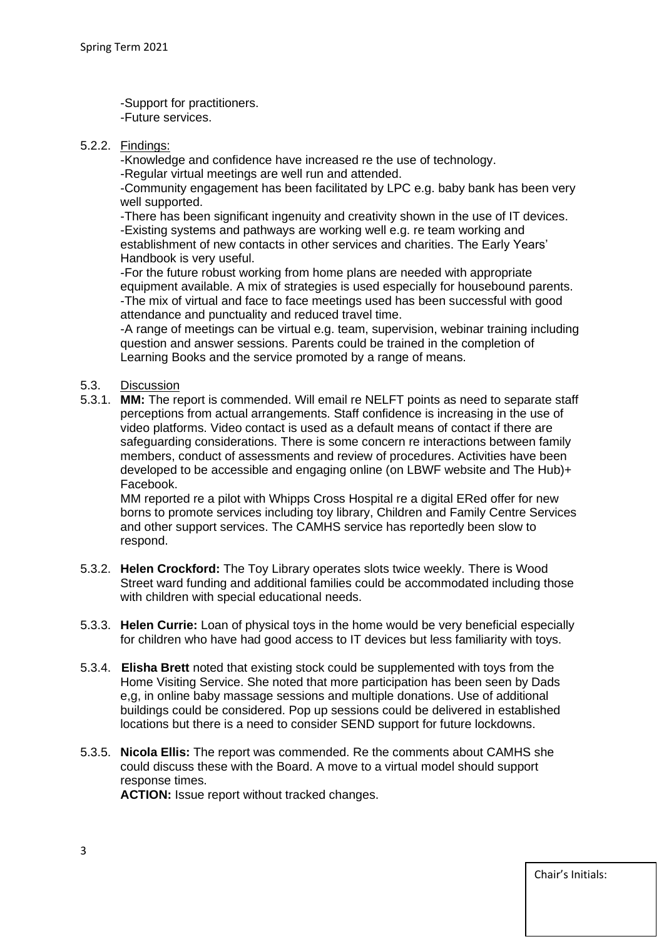-Support for practitioners. -Future services.

5.2.2. Findings:

-Knowledge and confidence have increased re the use of technology.

-Regular virtual meetings are well run and attended.

-Community engagement has been facilitated by LPC e.g. baby bank has been very well supported.

-There has been significant ingenuity and creativity shown in the use of IT devices. -Existing systems and pathways are working well e.g. re team working and establishment of new contacts in other services and charities. The Early Years' Handbook is very useful.

-For the future robust working from home plans are needed with appropriate equipment available. A mix of strategies is used especially for housebound parents. -The mix of virtual and face to face meetings used has been successful with good attendance and punctuality and reduced travel time.

-A range of meetings can be virtual e.g. team, supervision, webinar training including question and answer sessions. Parents could be trained in the completion of Learning Books and the service promoted by a range of means.

#### 5.3. Discussion

5.3.1. **MM:** The report is commended. Will email re NELFT points as need to separate staff perceptions from actual arrangements. Staff confidence is increasing in the use of video platforms. Video contact is used as a default means of contact if there are safeguarding considerations. There is some concern re interactions between family members, conduct of assessments and review of procedures. Activities have been developed to be accessible and engaging online (on LBWF website and The Hub)+ Facebook.

MM reported re a pilot with Whipps Cross Hospital re a digital ERed offer for new borns to promote services including toy library, Children and Family Centre Services and other support services. The CAMHS service has reportedly been slow to respond.

- 5.3.2. **Helen Crockford:** The Toy Library operates slots twice weekly. There is Wood Street ward funding and additional families could be accommodated including those with children with special educational needs.
- 5.3.3. **Helen Currie:** Loan of physical toys in the home would be very beneficial especially for children who have had good access to IT devices but less familiarity with toys.
- 5.3.4. **Elisha Brett** noted that existing stock could be supplemented with toys from the Home Visiting Service. She noted that more participation has been seen by Dads e,g, in online baby massage sessions and multiple donations. Use of additional buildings could be considered. Pop up sessions could be delivered in established locations but there is a need to consider SEND support for future lockdowns.
- 5.3.5. **Nicola Ellis:** The report was commended. Re the comments about CAMHS she could discuss these with the Board. A move to a virtual model should support response times. **ACTION:** Issue report without tracked changes.

Chair's Initials: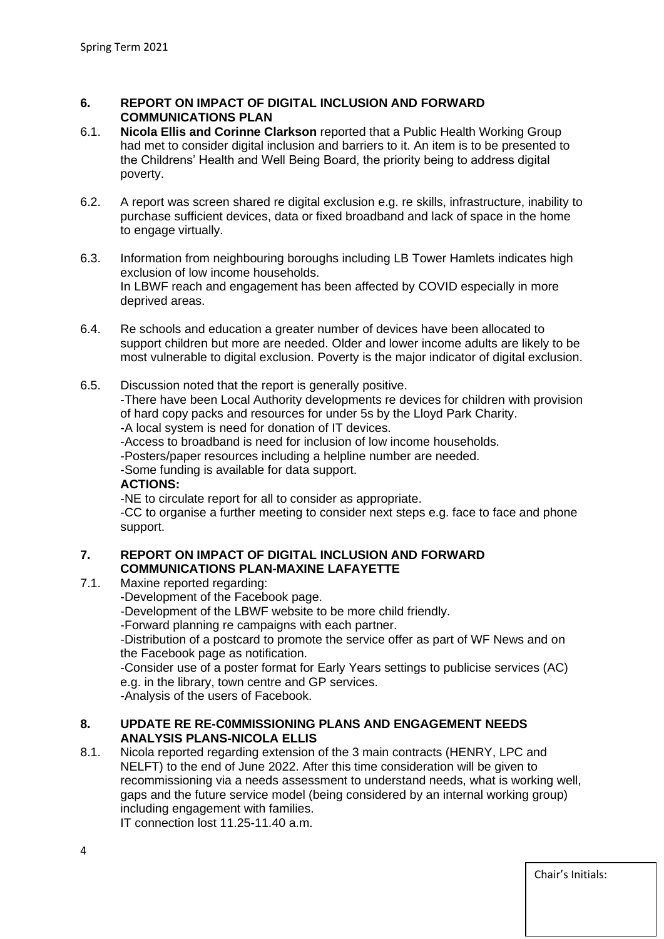#### **6. REPORT ON IMPACT OF DIGITAL INCLUSION AND FORWARD COMMUNICATIONS PLAN**

- 6.1. **Nicola Ellis and Corinne Clarkson** reported that a Public Health Working Group had met to consider digital inclusion and barriers to it. An item is to be presented to the Childrens' Health and Well Being Board, the priority being to address digital poverty.
- 6.2. A report was screen shared re digital exclusion e.g. re skills, infrastructure, inability to purchase sufficient devices, data or fixed broadband and lack of space in the home to engage virtually.
- 6.3. Information from neighbouring boroughs including LB Tower Hamlets indicates high exclusion of low income households. In LBWF reach and engagement has been affected by COVID especially in more deprived areas.
- 6.4. Re schools and education a greater number of devices have been allocated to support children but more are needed. Older and lower income adults are likely to be most vulnerable to digital exclusion. Poverty is the major indicator of digital exclusion.
- 6.5. Discussion noted that the report is generally positive.

-There have been Local Authority developments re devices for children with provision of hard copy packs and resources for under 5s by the Lloyd Park Charity.

-A local system is need for donation of IT devices.

-Access to broadband is need for inclusion of low income households.

-Posters/paper resources including a helpline number are needed.

-Some funding is available for data support.

#### **ACTIONS:**

-NE to circulate report for all to consider as appropriate.

-CC to organise a further meeting to consider next steps e.g. face to face and phone support.

#### **7. REPORT ON IMPACT OF DIGITAL INCLUSION AND FORWARD COMMUNICATIONS PLAN-MAXINE LAFAYETTE**

- 7.1. Maxine reported regarding:
	- -Development of the Facebook page.
	- -Development of the LBWF website to be more child friendly.

-Forward planning re campaigns with each partner.

-Distribution of a postcard to promote the service offer as part of WF News and on the Facebook page as notification.

-Consider use of a poster format for Early Years settings to publicise services (AC) e.g. in the library, town centre and GP services.

-Analysis of the users of Facebook.

#### **8. UPDATE RE RE-C0MMISSIONING PLANS AND ENGAGEMENT NEEDS ANALYSIS PLANS-NICOLA ELLIS**

8.1. Nicola reported regarding extension of the 3 main contracts (HENRY, LPC and NELFT) to the end of June 2022. After this time consideration will be given to recommissioning via a needs assessment to understand needs, what is working well, gaps and the future service model (being considered by an internal working group) including engagement with families.

IT connection lost 11.25-11.40 a.m.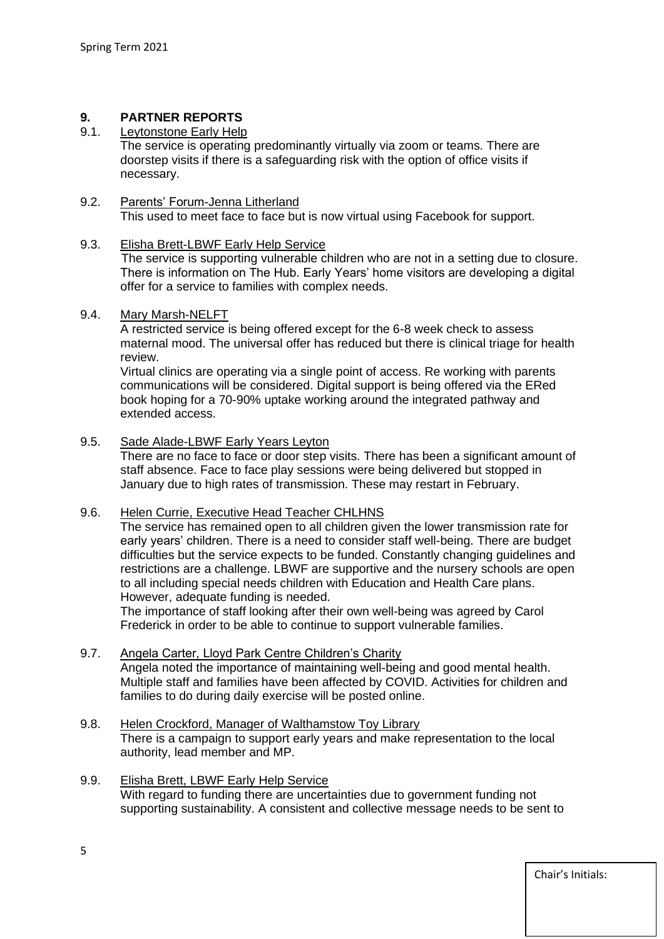## **9. PARTNER REPORTS**

#### Leytonstone Early Help

The service is operating predominantly virtually via zoom or teams. There are doorstep visits if there is a safeguarding risk with the option of office visits if necessary.

#### 9.2. Parents' Forum-Jenna Litherland

This used to meet face to face but is now virtual using Facebook for support.

#### 9.3. Elisha Brett-LBWF Early Help Service

 The service is supporting vulnerable children who are not in a setting due to closure. There is information on The Hub. Early Years' home visitors are developing a digital offer for a service to families with complex needs.

#### 9.4. Mary Marsh-NELFT

A restricted service is being offered except for the 6-8 week check to assess maternal mood. The universal offer has reduced but there is clinical triage for health review.

Virtual clinics are operating via a single point of access. Re working with parents communications will be considered. Digital support is being offered via the ERed book hoping for a 70-90% uptake working around the integrated pathway and extended access.

#### 9.5. Sade Alade-LBWF Early Years Leyton

There are no face to face or door step visits. There has been a significant amount of staff absence. Face to face play sessions were being delivered but stopped in January due to high rates of transmission. These may restart in February.

#### 9.6. Helen Currie, Executive Head Teacher CHLHNS

The service has remained open to all children given the lower transmission rate for early years' children. There is a need to consider staff well-being. There are budget difficulties but the service expects to be funded. Constantly changing guidelines and restrictions are a challenge. LBWF are supportive and the nursery schools are open to all including special needs children with Education and Health Care plans. However, adequate funding is needed.

The importance of staff looking after their own well-being was agreed by Carol Frederick in order to be able to continue to support vulnerable families.

#### 9.7. Angela Carter, Lloyd Park Centre Children's Charity

Angela noted the importance of maintaining well-being and good mental health. Multiple staff and families have been affected by COVID. Activities for children and families to do during daily exercise will be posted online.

#### 9.8. Helen Crockford, Manager of Walthamstow Toy Library

There is a campaign to support early years and make representation to the local authority, lead member and MP.

### 9.9. Elisha Brett, LBWF Early Help Service

With regard to funding there are uncertainties due to government funding not supporting sustainability. A consistent and collective message needs to be sent to